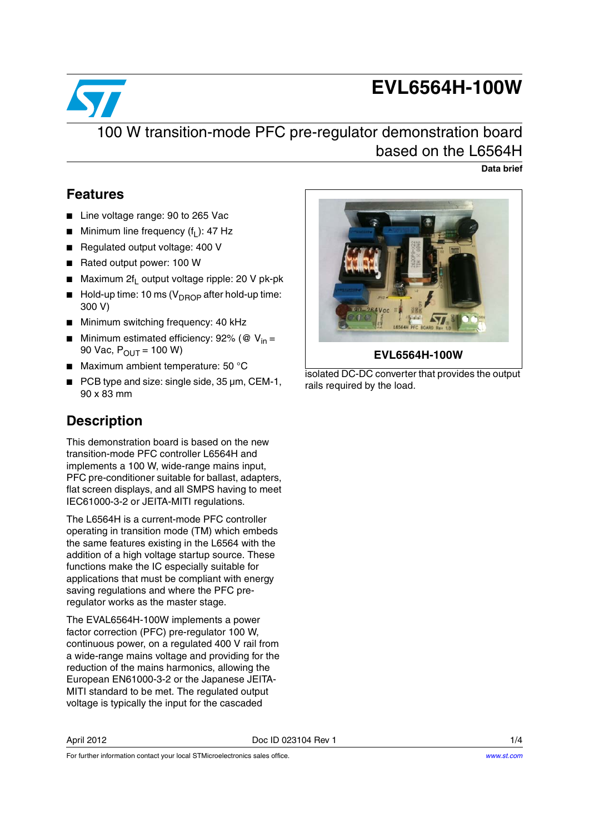# **EVL6564H-100W**



### 100 W transition-mode PFC pre-regulator demonstration board based on the L6564H

**Data brief**

### **Features**

- Line voltage range: 90 to 265 Vac
- **■** Minimum line frequency  $(f<sub>L</sub>)$ : 47 Hz
- Regulated output voltage: 400 V
- Rated output power: 100 W
- Maximum  $2f_1$  output voltage ripple: 20 V pk-pk
- $\blacksquare$  Hold-up time: 10 ms (V<sub>DROP</sub> after hold-up time: 300 V)
- Minimum switching frequency: 40 kHz
- Minimum estimated efficiency: 92% (@  $V<sub>in</sub> =$ 90 Vac,  $P_{OUT} = 100 W$
- Maximum ambient temperature: 50 $^{\circ}$ C
- PCB type and size: single side, 35  $\mu$ m, CEM-1, 90 x 83 mm

### **Description**

This demonstration board is based on the new transition-mode PFC controller L6564H and implements a 100 W, wide-range mains input, PFC pre-conditioner suitable for ballast, adapters, flat screen displays, and all SMPS having to meet IEC61000-3-2 or JEITA-MITI regulations.

The L6564H is a current-mode PFC controller operating in transition mode (TM) which embeds the same features existing in the L6564 with the addition of a high voltage startup source. These functions make the IC especially suitable for applications that must be compliant with energy saving regulations and where the PFC preregulator works as the master stage.

The EVAL6564H-100W implements a power factor correction (PFC) pre-regulator 100 W, continuous power, on a regulated 400 V rail from a wide-range mains voltage and providing for the reduction of the mains harmonics, allowing the European EN61000-3-2 or the Japanese JEITA-MITI standard to be met. The regulated output voltage is typically the input for the cascaded



isolated DC-DC converter that provides the output rails required by the load.

For further information contact your local STMicroelectronics sales office.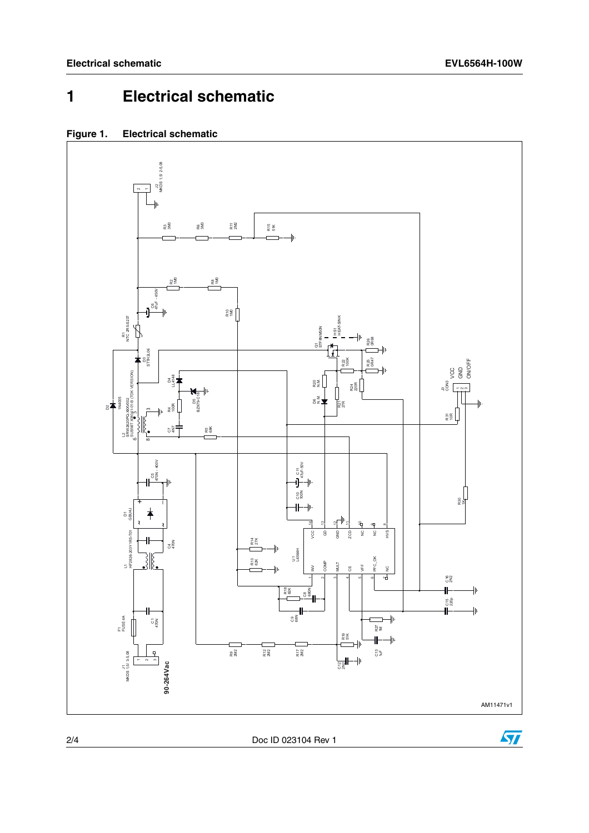## **1 Electrical schematic**



### **Figure 1. Electrical schematic**

2/4 Doc ID 023104 Rev 1

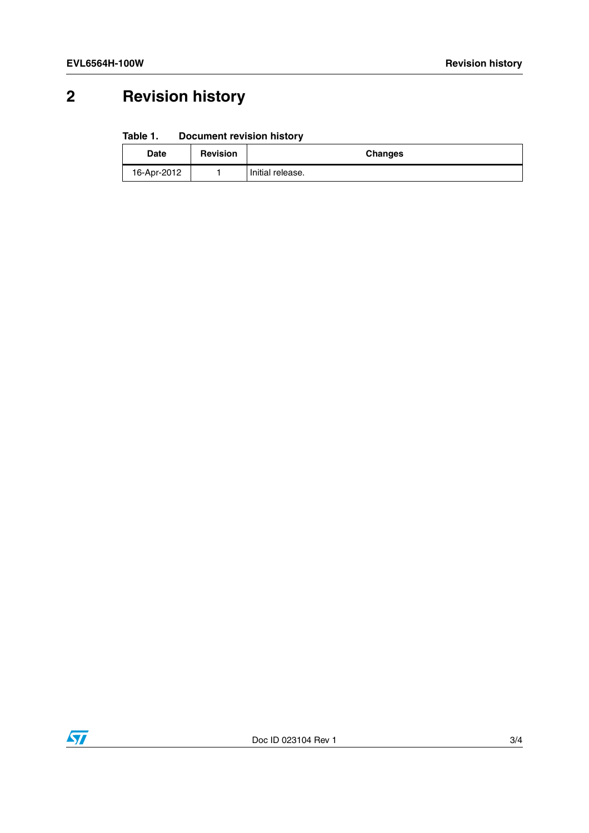# **2 Revision history**

#### Table 1. **Document revision history**

| <b>Date</b> | <b>Revision</b> | Changes          |
|-------------|-----------------|------------------|
| 16-Apr-2012 |                 | Initial release. |